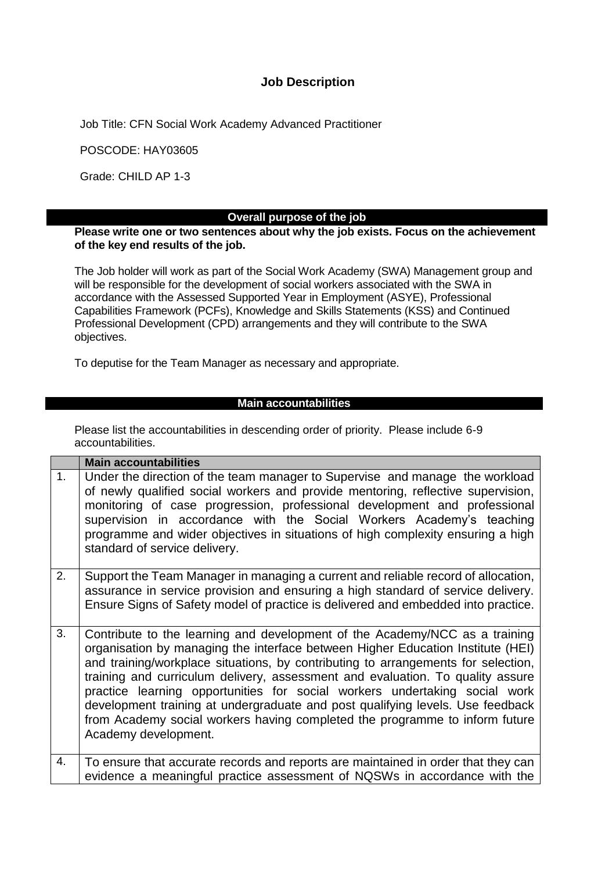### **Job Description**

Job Title: CFN Social Work Academy Advanced Practitioner

POSCODE: HAY03605

Grade: CHILD AP 1-3

#### **Overall purpose of the job**

**Please write one or two sentences about why the job exists. Focus on the achievement of the key end results of the job.** 

The Job holder will work as part of the Social Work Academy (SWA) Management group and will be responsible for the development of social workers associated with the SWA in accordance with the Assessed Supported Year in Employment (ASYE), Professional Capabilities Framework (PCFs), Knowledge and Skills Statements (KSS) and Continued Professional Development (CPD) arrangements and they will contribute to the SWA objectives.

To deputise for the Team Manager as necessary and appropriate.

#### **Main accountabilities**

Please list the accountabilities in descending order of priority. Please include 6-9 accountabilities.

|    |    | <b>Main accountabilities</b>                                                                                                                                                                                                                                                                                                                                                                                                                                                                                                                                                                                 |
|----|----|--------------------------------------------------------------------------------------------------------------------------------------------------------------------------------------------------------------------------------------------------------------------------------------------------------------------------------------------------------------------------------------------------------------------------------------------------------------------------------------------------------------------------------------------------------------------------------------------------------------|
|    | 1. | Under the direction of the team manager to Supervise and manage the workload<br>of newly qualified social workers and provide mentoring, reflective supervision,<br>monitoring of case progression, professional development and professional<br>supervision in accordance with the Social Workers Academy's teaching<br>programme and wider objectives in situations of high complexity ensuring a high<br>standard of service delivery.                                                                                                                                                                    |
| 2. |    | Support the Team Manager in managing a current and reliable record of allocation,<br>assurance in service provision and ensuring a high standard of service delivery.<br>Ensure Signs of Safety model of practice is delivered and embedded into practice.                                                                                                                                                                                                                                                                                                                                                   |
|    | 3. | Contribute to the learning and development of the Academy/NCC as a training<br>organisation by managing the interface between Higher Education Institute (HEI)<br>and training/workplace situations, by contributing to arrangements for selection,<br>training and curriculum delivery, assessment and evaluation. To quality assure<br>practice learning opportunities for social workers undertaking social work<br>development training at undergraduate and post qualifying levels. Use feedback<br>from Academy social workers having completed the programme to inform future<br>Academy development. |
|    | 4. | To ensure that accurate records and reports are maintained in order that they can<br>evidence a meaningful practice assessment of NQSWs in accordance with the                                                                                                                                                                                                                                                                                                                                                                                                                                               |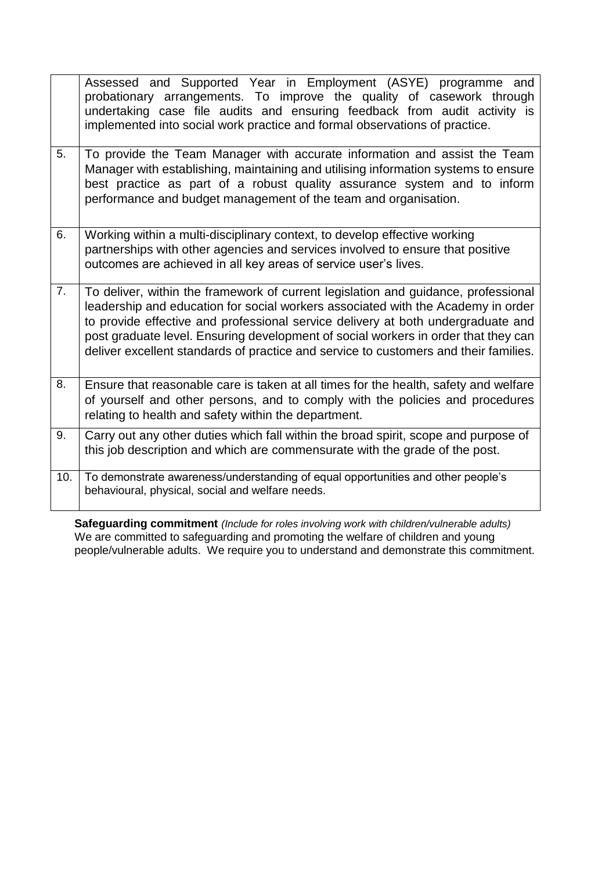|     | Assessed and Supported Year in Employment (ASYE) programme<br>and<br>probationary arrangements. To improve the quality of casework through<br>undertaking case file audits and ensuring feedback from audit activity is<br>implemented into social work practice and formal observations of practice.                                                                                                                                    |  |  |
|-----|------------------------------------------------------------------------------------------------------------------------------------------------------------------------------------------------------------------------------------------------------------------------------------------------------------------------------------------------------------------------------------------------------------------------------------------|--|--|
| 5.  | To provide the Team Manager with accurate information and assist the Team<br>Manager with establishing, maintaining and utilising information systems to ensure<br>best practice as part of a robust quality assurance system and to inform<br>performance and budget management of the team and organisation.                                                                                                                           |  |  |
| 6.  | Working within a multi-disciplinary context, to develop effective working<br>partnerships with other agencies and services involved to ensure that positive<br>outcomes are achieved in all key areas of service user's lives.                                                                                                                                                                                                           |  |  |
| 7.  | To deliver, within the framework of current legislation and guidance, professional<br>leadership and education for social workers associated with the Academy in order<br>to provide effective and professional service delivery at both undergraduate and<br>post graduate level. Ensuring development of social workers in order that they can<br>deliver excellent standards of practice and service to customers and their families. |  |  |
| 8.  | Ensure that reasonable care is taken at all times for the health, safety and welfare<br>of yourself and other persons, and to comply with the policies and procedures<br>relating to health and safety within the department.                                                                                                                                                                                                            |  |  |
| 9.  | Carry out any other duties which fall within the broad spirit, scope and purpose of<br>this job description and which are commensurate with the grade of the post.                                                                                                                                                                                                                                                                       |  |  |
| 10. | To demonstrate awareness/understanding of equal opportunities and other people's<br>behavioural, physical, social and welfare needs.                                                                                                                                                                                                                                                                                                     |  |  |

**Safeguarding commitment** *(Include for roles involving work with children/vulnerable adults)* We are committed to safeguarding and promoting the welfare of children and young people/vulnerable adults. We require you to understand and demonstrate this commitment.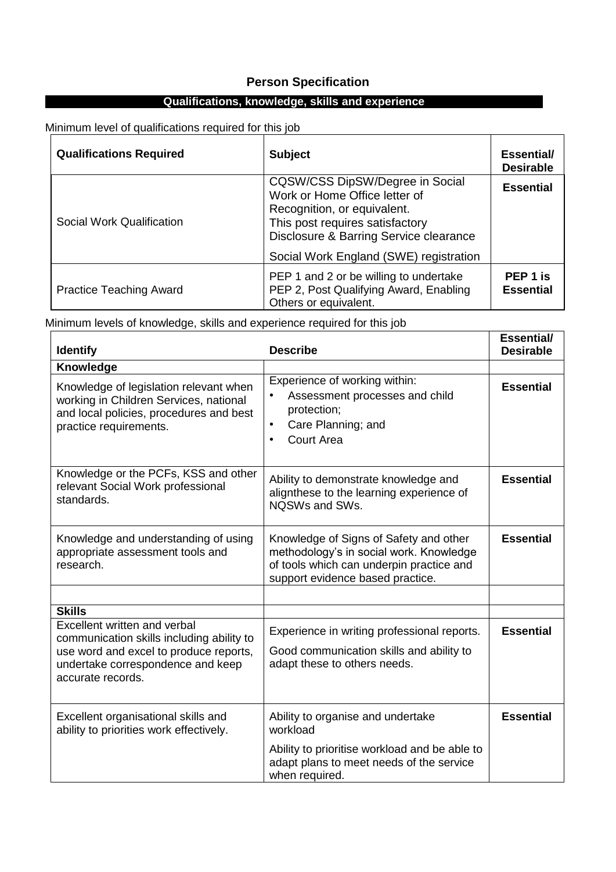## **Person Specification**

## **Qualifications, knowledge, skills and experience**

Minimum level of qualifications required for this job

| <b>Qualifications Required</b> | <b>Subject</b>                                                                                                                                                                                                         | Essential/<br><b>Desirable</b> |
|--------------------------------|------------------------------------------------------------------------------------------------------------------------------------------------------------------------------------------------------------------------|--------------------------------|
| Social Work Qualification      | CQSW/CSS DipSW/Degree in Social<br>Work or Home Office letter of<br>Recognition, or equivalent.<br>This post requires satisfactory<br>Disclosure & Barring Service clearance<br>Social Work England (SWE) registration | <b>Essential</b>               |
| <b>Practice Teaching Award</b> | PEP 1 and 2 or be willing to undertake<br>PEP 2, Post Qualifying Award, Enabling<br>Others or equivalent.                                                                                                              | PEP 1 is<br><b>Essential</b>   |

Minimum levels of knowledge, skills and experience required for this job

| <b>Identify</b>                                                                                                                                                                      | <b>Describe</b>                                                                                                                                                   | <b>Essential/</b><br><b>Desirable</b> |
|--------------------------------------------------------------------------------------------------------------------------------------------------------------------------------------|-------------------------------------------------------------------------------------------------------------------------------------------------------------------|---------------------------------------|
| Knowledge                                                                                                                                                                            |                                                                                                                                                                   |                                       |
| Knowledge of legislation relevant when<br>working in Children Services, national<br>and local policies, procedures and best<br>practice requirements.                                | Experience of working within:<br>Assessment processes and child<br>$\bullet$<br>protection;<br>Care Planning; and<br>$\bullet$<br>Court Area<br>$\bullet$         | <b>Essential</b>                      |
| Knowledge or the PCFs, KSS and other<br>relevant Social Work professional<br>standards.                                                                                              | Ability to demonstrate knowledge and<br>alignthese to the learning experience of<br>NOSWs and SWs.                                                                | <b>Essential</b>                      |
| Knowledge and understanding of using<br>appropriate assessment tools and<br>research.                                                                                                | Knowledge of Signs of Safety and other<br>methodology's in social work. Knowledge<br>of tools which can underpin practice and<br>support evidence based practice. | <b>Essential</b>                      |
| <b>Skills</b>                                                                                                                                                                        |                                                                                                                                                                   |                                       |
| <b>Excellent written and verbal</b><br>communication skills including ability to<br>use word and excel to produce reports,<br>undertake correspondence and keep<br>accurate records. | Experience in writing professional reports.<br>Good communication skills and ability to<br>adapt these to others needs.                                           | <b>Essential</b>                      |
| Excellent organisational skills and<br>ability to priorities work effectively.                                                                                                       | Ability to organise and undertake<br>workload<br>Ability to prioritise workload and be able to<br>adapt plans to meet needs of the service<br>when required.      | <b>Essential</b>                      |